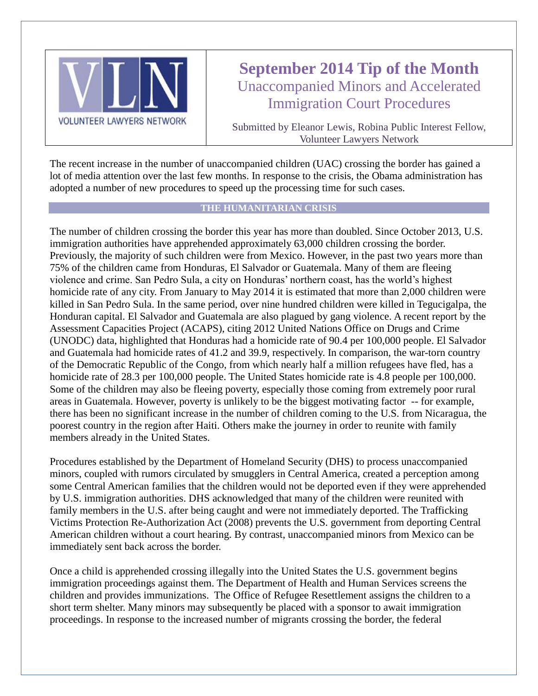

# **September 2014 Tip of the Month** Unaccompanied Minors and Accelerated Immigration Court Procedures

Submitted by Eleanor Lewis, Robina Public Interest Fellow, Volunteer Lawyers Network

The recent increase in the number of unaccompanied children (UAC) crossing the border has gained a lot of media attention over the last few months. In response to the crisis, the Obama administration has adopted a number of new procedures to speed up the processing time for such cases.

#### **THE HUMANITARIAN CRISIS**

The number of children crossing the border this year has more than doubled. Since October 2013, U.S. immigration authorities have apprehended approximately 63,000 children crossing the border. Previously, the majority of such children were from Mexico. However, in the past two years more than 75% of the children came from Honduras, El Salvador or Guatemala. Many of them are fleeing violence and crime. San Pedro Sula, a city on Honduras' northern coast, has the world's highest homicide rate of any city. From January to May 2014 it is estimated that more than 2,000 children were killed in San Pedro Sula. In the same period, over nine hundred children were killed in Tegucigalpa, the Honduran capital. El Salvador and Guatemala are also plagued by gang violence. A recent report by the Assessment Capacities Project (ACAPS), citing 2012 United Nations Office on Drugs and Crime (UNODC) data, highlighted that Honduras had a homicide rate of 90.4 per 100,000 people. El Salvador and Guatemala had homicide rates of 41.2 and 39.9, respectively. In comparison, the war-torn country of the Democratic Republic of the Congo, from which nearly half a million refugees have fled, has a homicide rate of 28.3 per 100,000 people. The United States homicide rate is 4.8 people per 100,000. Some of the children may also be fleeing poverty, especially those coming from extremely poor rural areas in Guatemala. However, poverty is unlikely to be the biggest motivating factor -- for example, there has been no significant increase in the number of children coming to the U.S. from Nicaragua, the poorest country in the region after Haiti. Others make the journey in order to reunite with family members already in the United States.

Procedures established by the Department of Homeland Security (DHS) to process unaccompanied minors, coupled with rumors circulated by smugglers in Central America, created a perception among some Central American families that the children would not be deported even if they were apprehended by U.S. immigration authorities. DHS acknowledged that many of the children were reunited with family members in the U.S. after being caught and were not immediately deported. The Trafficking Victims Protection Re-Authorization Act (2008) prevents the U.S. government from deporting Central American children without a court hearing. By contrast, unaccompanied minors from Mexico can be immediately sent back across the border.

Once a child is apprehended crossing illegally into the United States the U.S. government begins immigration proceedings against them. The Department of Health and Human Services screens the children and provides immunizations. The Office of Refugee Resettlement assigns the children to a short term shelter. Many minors may subsequently be placed with a sponsor to await immigration proceedings. In response to the increased number of migrants crossing the border, the federal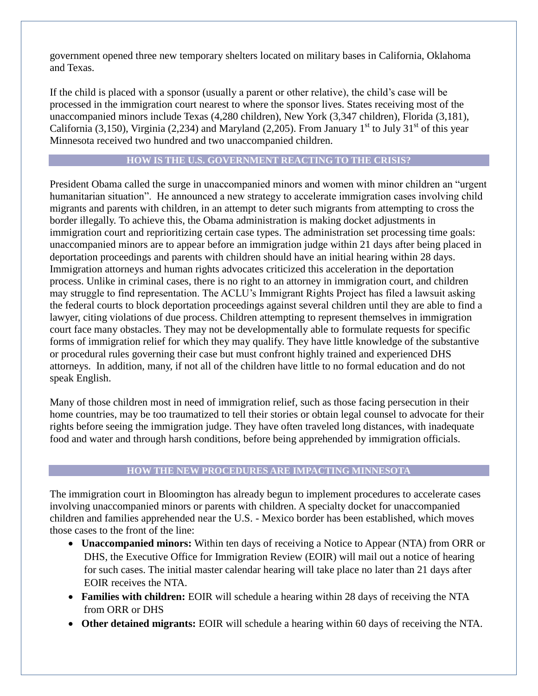government opened three new temporary shelters located on military bases in California, Oklahoma and Texas.

If the child is placed with a sponsor (usually a parent or other relative), the child's case will be processed in the immigration court nearest to where the sponsor lives. States receiving most of the unaccompanied minors include Texas (4,280 children), New York (3,347 children), Florida (3,181), California (3,150), Virginia (2,234) and Maryland (2,205). From January 1<sup>st</sup> to July 31<sup>st</sup> of this year Minnesota received two hundred and two unaccompanied children.

#### **HOW IS THE U.S. GOVERNMENT REACTING TO THE CRISIS?**

President Obama called the surge in unaccompanied minors and women with minor children an "urgent humanitarian situation". He announced a new strategy to accelerate immigration cases involving child migrants and parents with children, in an attempt to deter such migrants from attempting to cross the border illegally. To achieve this, the Obama administration is making docket adjustments in immigration court and reprioritizing certain case types. The administration set processing time goals: unaccompanied minors are to appear before an immigration judge within 21 days after being placed in deportation proceedings and parents with children should have an initial hearing within 28 days. Immigration attorneys and human rights advocates criticized this acceleration in the deportation process. Unlike in criminal cases, there is no right to an attorney in immigration court, and children may struggle to find representation. The ACLU's Immigrant Rights Project has filed a lawsuit asking the federal courts to block deportation proceedings against several children until they are able to find a lawyer, citing violations of due process. Children attempting to represent themselves in immigration court face many obstacles. They may not be developmentally able to formulate requests for specific forms of immigration relief for which they may qualify. They have little knowledge of the substantive or procedural rules governing their case but must confront highly trained and experienced DHS attorneys. In addition, many, if not all of the children have little to no formal education and do not speak English.

Many of those children most in need of immigration relief, such as those facing persecution in their home countries, may be too traumatized to tell their stories or obtain legal counsel to advocate for their rights before seeing the immigration judge. They have often traveled long distances, with inadequate food and water and through harsh conditions, before being apprehended by immigration officials.

# **HOW THE NEW PROCEDURES ARE IMPACTING MINNESOTA**

The immigration court in Bloomington has already begun to implement procedures to accelerate cases involving unaccompanied minors or parents with children. A specialty docket for unaccompanied children and families apprehended near the U.S. - Mexico border has been established, which moves those cases to the front of the line:

- **Unaccompanied minors:** Within ten days of receiving a Notice to Appear (NTA) from ORR or DHS, the Executive Office for Immigration Review (EOIR) will mail out a notice of hearing for such cases. The initial master calendar hearing will take place no later than 21 days after EOIR receives the NTA.
- **Families with children:** EOIR will schedule a hearing within 28 days of receiving the NTA from ORR or DHS
- **Other detained migrants:** EOIR will schedule a hearing within 60 days of receiving the NTA.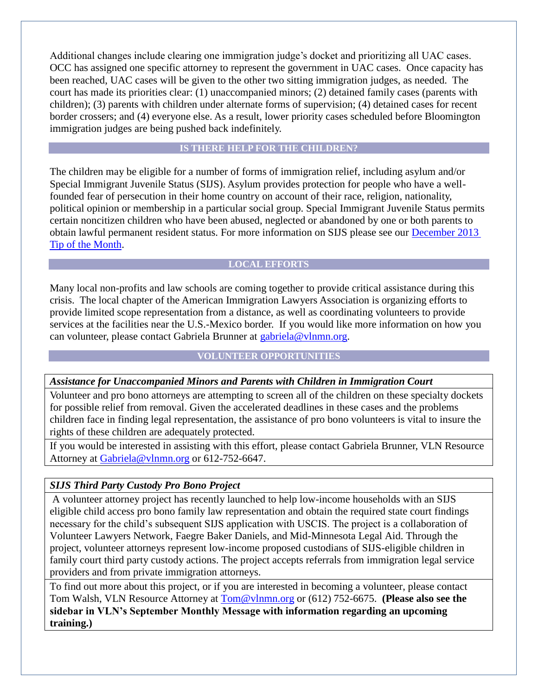Additional changes include clearing one immigration judge's docket and prioritizing all UAC cases. OCC has assigned one specific attorney to represent the government in UAC cases. Once capacity has been reached, UAC cases will be given to the other two sitting immigration judges, as needed. The court has made its priorities clear: (1) unaccompanied minors; (2) detained family cases (parents with children); (3) parents with children under alternate forms of supervision; (4) detained cases for recent border crossers; and (4) everyone else. As a result, lower priority cases scheduled before Bloomington immigration judges are being pushed back indefinitely.

#### **IS THERE HELP FOR THE CHILDREN?**

The children may be eligible for a number of forms of immigration relief, including asylum and/or Special Immigrant Juvenile Status (SIJS). Asylum provides protection for people who have a wellfounded fear of persecution in their home country on account of their race, religion, nationality, political opinion or membership in a particular social group. Special Immigrant Juvenile Status permits certain noncitizen children who have been abused, neglected or abandoned by one or both parents to obtain lawful permanent resident status. For more information on SIJS please see our [December 2013](https://www.vlnmn.org/special-immigrant-juvenile-status/)  [Tip of the Month.](https://www.vlnmn.org/special-immigrant-juvenile-status/)

#### **LOCAL EFFORTS**

Many local non-profits and law schools are coming together to provide critical assistance during this crisis. The local chapter of the American Immigration Lawyers Association is organizing efforts to provide limited scope representation from a distance, as well as coordinating volunteers to provide services at the facilities near the U.S.-Mexico border. If you would like more information on how you can volunteer, please contact Gabriela Brunner at [gabriela@vlnmn.org.](mailto:gabriela@vlnmn.org)

# **VOLUNTEER OPPORTUNITIES**

# *Assistance for Unaccompanied Minors and Parents with Children in Immigration Court*

Volunteer and pro bono attorneys are attempting to screen all of the children on these specialty dockets for possible relief from removal. Given the accelerated deadlines in these cases and the problems children face in finding legal representation, the assistance of pro bono volunteers is vital to insure the rights of these children are adequately protected.

If you would be interested in assisting with this effort, please contact Gabriela Brunner, VLN Resource Attorney at [Gabriela@vlnmn.org](mailto:Gabriela@vlnmn.org) or 612-752-6647.

# *SIJS Third Party Custody Pro Bono Project*

A volunteer attorney project has recently launched to help low-income households with an SIJS eligible child access pro bono family law representation and obtain the required state court findings necessary for the child's subsequent SIJS application with USCIS. The project is a collaboration of Volunteer Lawyers Network, Faegre Baker Daniels, and Mid-Minnesota Legal Aid. Through the project, volunteer attorneys represent low-income proposed custodians of SIJS-eligible children in family court third party custody actions. The project accepts referrals from immigration legal service providers and from private immigration attorneys.

To find out more about this project, or if you are interested in becoming a volunteer, please contact Tom Walsh, VLN Resource Attorney at [Tom@vlnmn.org](mailto:Tom@vlnmn.org) or (612) 752-6675. **(Please also see the sidebar in VLN's September Monthly Message with information regarding an upcoming training.)**